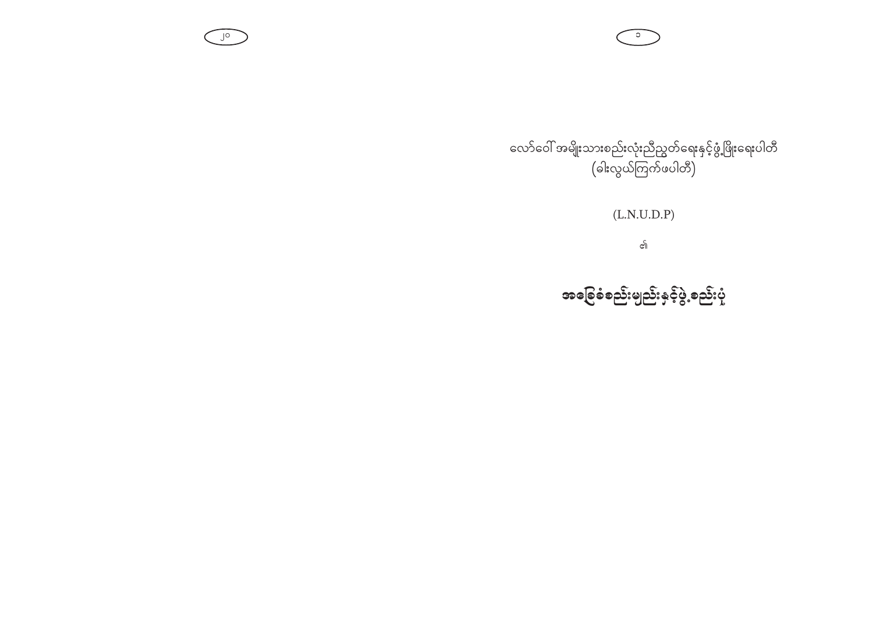လော်ဝေါ် အမျိုးသားစည်းလုံးညီညွတ်ရေးနှင့်ဖွံ့ဖြိုးရေးပါတီ (ခါးလွယ်ကြက်ဖပါတီ)

 $\overline{\cdot}$ 

 $J^{\circ}$ 

 $(L.N.U.D.P)$ 

၏

အခြေခံစည်းမျည်းနှင့်ပွဲ<sub>့</sub>စည်းပုံ့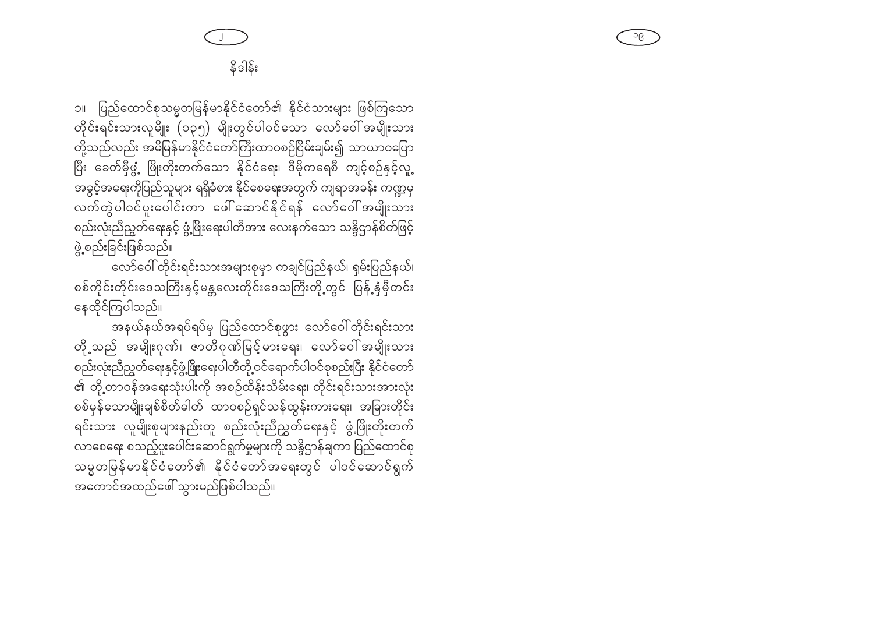ပြည်ထောင်စုသမ္မတမြန်မာနိုင်ငံတော်၏ နိုင်ငံသားများ ဖြစ်ကြသော  $\overline{\mathbb{C}}$ တိုင်းရင်းသားလူမျိုး (၁၃၅) မျိုးတွင်ပါဝင်သော လော်ဝေါ် အမျိုးသား တို့သည်လည်း အမိမြန်မာနိုင်ငံတော်ကြီးထာဝစဉ်ငြိမ်းချမ်း၍ သာယာဝပြော ပြီး ခေတ်မှီဖွံ့ ဖြိုးတိုးတက်သော နိုင်ငံရေး၊ ဒီမိုကရေစီ ကျင့်စဉ်နှင့်လူ့ အခွင့်အရေးကိုပြည်သူများ ရရှိခံစား နိုင်စေရေးအတွက် ကျရာအခန်း ကဏ္ဍမှ ့<br>လက်တွဲပါဝင်ပူးပေါင်းကာ ဖေါ်ဆောင်နိုင်ရန် လော်ဝေါ်အမျိုးသား စည်းလုံးညီညွတ်ရေးနှင့် ဖွံ့ဖြိုးရေးပါတီအား လေးနက်သော သန္ဒိဌာန်စိတ်ဖြင့် ဖွဲ့စည်းခြင်းဖြစ်သည်။

လော်ဝေါ် တိုင်းရင်းသားအများစုမှာ ကချင်ပြည်နယ်၊ ရှမ်းပြည်နယ်၊ စစ်ကိုင်းတိုင်းဒေသကြီးနှင့်မန္တလေးတိုင်းဒေသကြီးတို့တွင် ပြန့်နှံမှီတင်း နေထိုင်ကြပါသည်။

အနယ်နယ်အရပ်ရပ်မှ ပြည်ထောင်စုဖွား လော်ဝေါ်တိုင်းရင်းသား တို့သည် အမျိုးဂုဏ်၊ ဇာတိဂုဏ်မြင့်မားရေး၊ လော်ဝေါ်အမျိုးသား စည်းလုံးညီညွတ်ရေးနှင့်ဖွံ့ဖြိုးရေးပါတီတို့ဝင်ရောက်ပါဝင်စုစည်းပြီး နိုင်ငံတော် ၏ တို့တာဝန်အရေးသုံးပါးကို အစဉ်ထိန်းသိမ်းရေး၊ တိုင်းရင်းသားအားလုံး စစ်မှန်သောမျိုးချစ်စိတ်ဓါတ် ထာဝစဉ်ရှင်သန်ထွန်းကားရေး၊ အခြားတိုင်း ရင်းသား လူမျိုးစုများနည်းတူ စည်းလုံးညီညွှတ်ရေးနှင့် ဖွံ့ဖြိုးတိုးတက် လာစေရေး စသည့်ပူးပေါင်းဆောင်ရွက်မှုများကို သန္ဒိဌာန်ချကာ ပြည်ထောင်စု သမ္မတမြန်မာနိုင်ငံတော်၏ နိုင်ငံတော်အရေးတွင် ပါဝင်ဆောင်ရွက် အကောင်အထည်ဖေါ် သွားမည်ဖြစ်ပါသည်။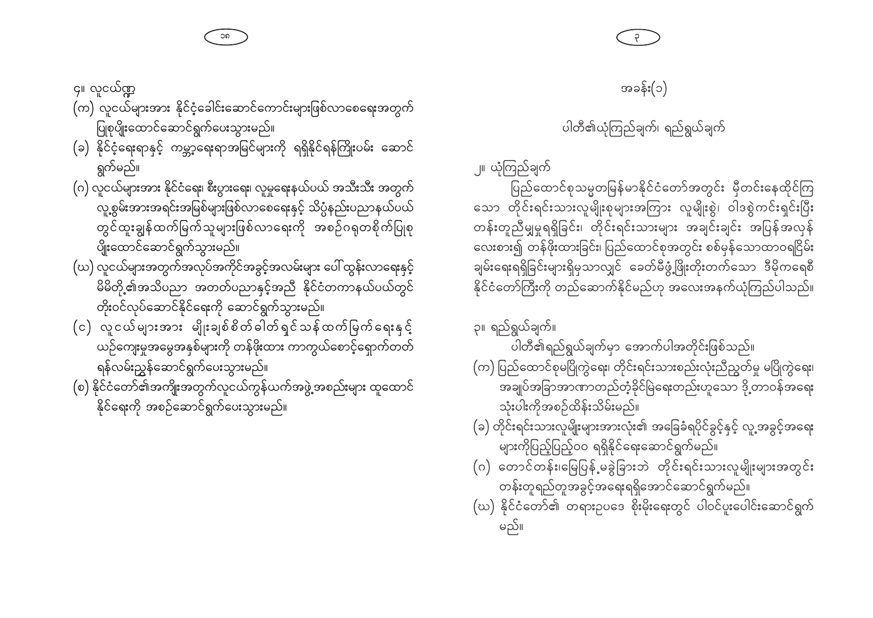(က) လူငယ်များအား နိုင်ငံ့ခေါင်းဆောင်ကောင်းများဖြစ်လာစေရေးအတွက် ပြုစုပျိုးထောင်ဆောင်ရွက်ပေးသွားမည်။ (ခ) နိုင်ငံ့ရေးရာနှင့် ကမ္ဘာ့ရေးရာအမြင်များကို ရရှိနိုင်ရန်ကြိုးပမ်း ဆောင် ရွက်မည်။

၄။ လူငယ်ဏ္ဍ

- (ဂ) လူငယ်များအား နိုင်ငံရေး၊ စီးပွားရေး၊ လူမှုရေးနယ်ပယ် အသီးသီး အတွက် လူ့စွမ်းအားအရင်းအမြစ်များဖြစ်လာစေရေးနှင့် သိပ္ပံနည်းပညာနယ်ပယ် တွင်ထူးချွန်ထက်မြက်သူများဖြစ်လာရေးကို အစဉ်ဂရုတစိုက်ပြုစု ပျိုးထောင်ဆောင်ရွက်သွားမည်။
- (ဃ) လူငယ်များအတွက်အလုပ်အကိုင်အခွင့်အလမ်းများ ပေါ် ထွန်းလာရေးနှင့် မိမိတို့၏အသိပညာ အတတ်ပညာနှင့်အညီ နိုင်ငံတကာနယ်ပယ်တွင် တိုးဝင်လုပ်ဆောင်နိုင်ရေးကို ဆောင်ရွက်သွားမည်။
- (င) လူငယ်များအား မျိုးချစ်စိတ်ဓါတ်ရှင်သန်ထက်မြက်ရေးနှင့် ယဉ်ကျေးမှုအမွေအနှစ်များကို တန်ဖိုးထား ကာကွယ်စောင့်ရှောက်တတ် ရန်လမ်းညွှန်ဆောင်ရွက်ပေးသွားမည်။
- (စ) နိုင်ငံတော်၏အကျိုးအတွက်လူငယ်ကွန်ယက်အဖွဲ့အစည်းများ ထူထောင် နိုင်ရေးကို အစဉ်ဆောင်ရွက်ပေးသွားမည်။

၂။ ယုံကြည်ချက် ပြည်ထောင်စုသမ္မတမြန်မာနိုင်ငံတော်အတွင်း မှီတင်းနေထိုင်ကြ သော တိုင်းရင်းသားလူမျိုးစုများအကြား လူမျိုးစွဲ၊ ဝါဒစွဲကင်းရှင်းပြီး တန်းတူညီမျှမှုရရှိခြင်း၊ တိုင်းရင်းသားများ အချင်းချင်း အပြန်အလှန် လေးစား၍ တန်ဖိုးထားခြင်း၊ ပြည်ထောင်စုအတွင်း စစ်မှန်သောထာဝရငြိမ်း ချမ်းရေးရရှိခြင်းများရှိမှသာလျှင် ခေတ်မီဖွံ့ဖြိုးတိုးတက်သော ဒီမိုကရေစီ နိုင်ငံတော်ကြီးကို တည်ဆောက်နိုင်မည်ဟု အလေးအနက်ယုံကြည်ပါသည်။

၃။ ရည်ရွယ်ချက်။ ပါတီ၏ရည်ရွယ်ချက်မှာ အောက်ပါအတိုင်းဖြစ်သည်။ (က) ပြည်ထောင်စုမပြိုကွဲရေး၊ တိုင်းရင်းသားစည်းလုံးညီညွတ်မှု မပြိုကွဲရေး၊

- သုံးပါးကိုအစဉ်ထိန်းသိမ်းမည်။
- (ခ) တိုင်းရင်းသားလူမျိုးများအားလုံး၏ အခြေခံရပိုင်ခွင့်နှင့် လူ့အခွင့်အရေး များကိုပြည့်ပြည့်ဝဝ ရရှိနိုင်ရေးဆောင်ရွက်မည်။
- (ဂ) တောင်တန်း၊မြေပြန့်မခွဲခြားဘဲ တိုင်းရင်းသားလူမျိုးများအတွင်း တန်းတူရည်တူအခွင့်အရေးရရှိအောင်ဆောင်ရွက်မည်။
- (ဃ) နိုင်ငံတော်၏ တရားဥပဒေ စိုးမိုးရေးတွင် ပါဝင်ပူးပေါင်းဆောင်ရွက် မည်။

ပါတီ၏ယုံကြည်ချက်၊ ရည်ရွယ်ချက်

 $\epsilon$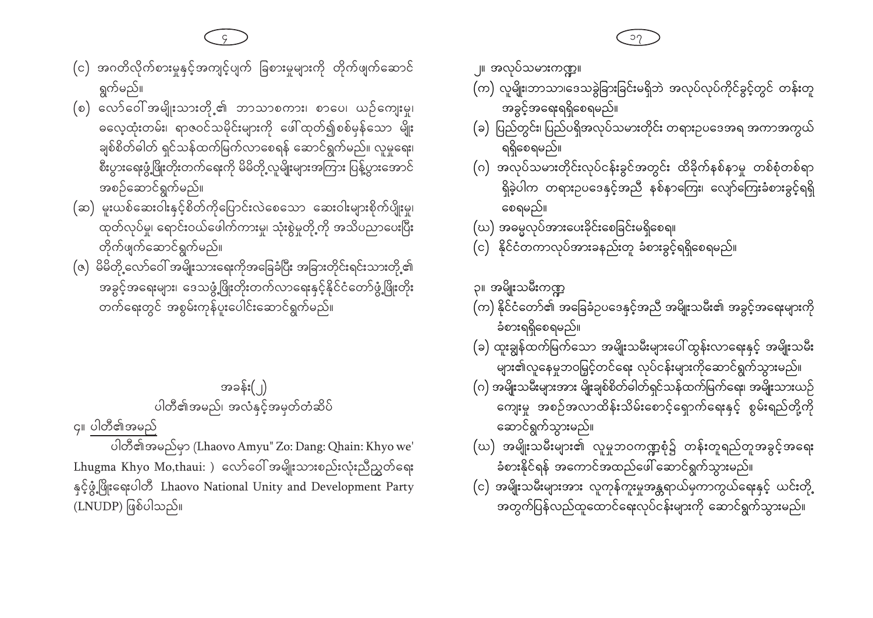- (င) အဂတိလိုက်စားမှုနှင့်အကျင့်ပျက် ခြစားမှုများကို တိုက်ဖျက်ဆောင် ရွက်မည်။
- (စ) လော်ဝေါ်အမျိုးသားတို့၏ ဘာသာစကား၊ စာပေ၊ ယဉ်ကျေးမှု၊ ဓလေ့ထုံးတမ်း၊ ရာဇဝင်သမိုင်းများကို ဖေါ်ထုတ်၍စစ်မှန်သော မျိုး ချစ်စိတ်ဓါတ် ရှင်သန်ထက်မြက်လာစေရန် ဆောင်ရွက်မည်။ လူမှုရေး၊ စီးပွားရေးဖွံ့ဖြိုးတိုးတက်ရေးကို မိမိတို့လူမျိုးများအကြား ပြန့်ပွားအောင် အစဉ်ဆောင်ရွက်မည်။
- (ဆ) မူးယစ်ဆေးဝါးနှင့်စိတ်ကိုပြောင်းလဲစေသော ဆေးဝါးများစိုက်ပျိုးမှု၊ ထုတ်လုပ်မှု၊ ရောင်းဝယ်ဖေါက်ကားမှု၊ သုံးစွဲမှုတို့ကို အသိပညာပေးပြီး တိုက်ဖျက်ဆောင်ရွက်မည်။
- (ဇ) မိမိတို့လော်ဝေါ် အမျိုးသားရေးကိုအခြေခံပြီး အခြားတိုင်းရင်းသားတို့၏ အခွင့်အရေးများ၊ ဒေသဖွံ့ဖြိုးတိုးတက်လာရေးနှင့်နိုင်ငံတော်ဖွံ့ဖြိုးတိုး တက်ရေးတွင် အစွမ်းကုန်ပူးပေါင်းဆောင်ရွက်မည်။

အခန်း(၂) ပါတီ၏အမည်၊ အလံနှင့်အမှတ်တံဆိပ်

၄။ ပါတီ၏အမည်

ပါတီ၏အမည်မှာ (Lhaovo Amyu" Zo: Dang: Qhain: Khyo we' Lhugma Khyo Mo,thaui: ) လော်ဝေါ် အမျိုးသားစည်းလုံးညီညွှတ်ရေး နှင့်ဖွံ့ဖြိုးရေးပါတီ Lhaovo National Unity and Development Party (LNUDP) ဖြစ်ပါသည်။

အခွင့်အရေးရရှိစေရမည်။

ရရှိစေရမည်။

စေရမည်။

၃။ အမ္ဂိူးသမီးကဏ္ဍ

ခံစားရရှိစေရမည်။

ဆောင်ရွက်သွားမည်။

(ဃ) အဓမ္မလုပ်အားပေးခိုင်းစေခြင်းမရှိစေရ။

(c) နိုင်ငံတကာလုပ်အားခနည်းတူ ခံစားခွင့်ရရှိစေရမည်။

္။ အလုပ်သမားကဏ္ဍ။ (က) လူမျိုးဘာသာ၊ဒေသခွဲခြားခြင်းမရှိဘဲ အလုပ်လုပ်ကိုင်ခွင့်တွင် တန်းတူ

(ခ) ပြည်တွင်း၊ ပြည်ပရိုအလုပ်သမားတိုင်း တရားဥပဒေအရ အကာအကွယ်

(ဂ) အလုပ်သမားတိုင်းလုပ်ငန်းခွင်အတွင်း ထိခိုက်နစ်နာမှု တစ်စုံတစ်ရာ

(က) နိုင်ငံတော်၏ အခြေခံဥပဒေနှင့်အညီ အမျိုးသမီး၏ အခွင့်အရေးများကို

(ခ) ထူးချွန်ထက်မြက်သော အမျိုးသမီးများပေါ် ထွန်းလာရေးနှင့် အမျိုးသမီး များ၏လူနေမှုဘဝမြှင့်တင်ရေး လုပ်ငန်းများကိုဆောင်ရွက်သွားမည်။ (ဂ) အမျိုးသမီးများအား မျိုးချစ်စိတ်ဓါတ်ရှင်သန်ထက်မြက်ရေး၊ အမျိုးသားယဉ်

ကျေးမှု အစဉ်အလာထိန်းသိမ်းစောင့်ရှောက်ရေးနှင့် စွမ်းရည်တို့ကို

(ဃ) အမျိုးသမီးများ၏ လူမှုဘဝကဏ္ဍစုံ၌ တန်းတူရည်တူအခွင့်အရေး

(င) အမျိုးသမီးများအား လူကုန်ကူးမှုအန္တရာယ်မှကာကွယ်ရေးနှင့် ယင်းတို့

အတွက်ပြန်လည်ထူထောင်ရေးလုပ်ငန်းများကို ဆောင်ရွက်သွားမည်။

ခံစားနိုင်ရန် အကောင်အထည်ဖေါ် ဆောင်ရွက်သွားမည်။

ရှိခဲ့ပါက တရားဉပဒေနှင့်အညီ နစ်နာကြေး၊ လျော်ကြေးခံစားခွင့်ရရှိ

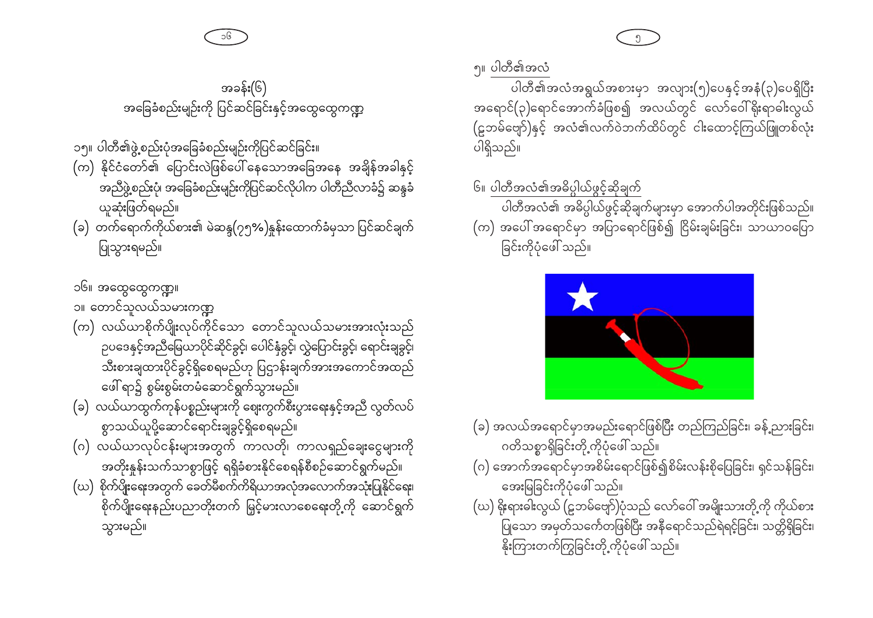အခန်း(၆)

အခြေခံစည်းမျဉ်းကို ပြင်ဆင်ခြင်းနှင့်အထွေထွေကဏ္ဍ

(က) နိုင်ငံတော်၏ ပြောင်းလဲဖြစ်ပေါ် နေသောအခြေအနေ အချိန်အခါနှင့်

(ခ) တက်ရောက်ကိုယ်စား၏ မဲဆန္ဒ(၇၅%)နှန်းထောက်ခံမှသာ ပြင်ဆင်ချက်

အညီဖွဲ့စည်းပုံ၊ အခြေခံစည်းမျဉ်းကိုပြင်ဆင်လိုပါက ပါတီညီလာခံ၌ ဆန္ဒခံ

၆။ ပါတီအလံ၏အဓိပ္ပါယ်ဖွင့်ဆိုချက် ပါတီအလံ၏ အဓိပ္ပါယ်ဖွင့်ဆိုချက်များမှာ အောက်ပါအတိုင်းဖြစ်သည်။ (က) အပေါ် အရောင်မှာ အပြာရောင်ဖြစ်၍ ငြိမ်းချမ်းခြင်း၊ သာယာဝပြော ခြင်းကိုပုံဖေါ် သည်။



၁၅။ ပါတီ၏ဖွဲ့စည်းပုံအခြေခံစည်းမျဉ်းကိုပြင်ဆင်ခြင်း။

ယူဆုံးဖြတ်ရမည်။

ပြုသွားရမည်။

- (က) လယ်ယာစိုက်ပျိုးလုပ်ကိုင်သော တောင်သူလယ်သမားအားလုံးသည် ဉပဒေနှင့်အညီမြေယာပိုင်ဆိုင်ခွင့်၊ ပေါင်နှံခွင့်၊ လွှဲပြောင်းခွင့်၊ ရောင်းချခွင့်၊ သီးစားချထားပိုင်ခွင့်ရှိစေရမည်ဟု ပြဌာန်းချက်အားအကောင်အထည် ဖေါ် ရာ၌ စွမ်းစွမ်းတမံဆောင်ရွက်သွားမည်။
- (ခ) လယ်ယာထွက်ကုန်ပစ္စည်းများကို ဈေးကွက်စီးပွားရေးနှင့်အညီ လွတ်လပ် စွာသယ်ယူပို့ဆောင်ရောင်းချခွင့်ရှိစေရမည်။
- (ဂ) လယ်ယာလုပ်ငန်းများအတွက် ကာလတို၊ ကာလရှည်ချေးငွေများကို အတိုးနူန်းသက်သာစွာဖြင့် ရရှိခံစားနိုင်စေရန်စီစဉ်ဆောင်ရွက်မည်။
- (ဃ) စိုက်ပျိုးရေးအတွက် ခေတ်မီစက်ကိရိယာအလုံအလောက်အသုံးပြုနိုင်ရေး၊ စိုက်ပျိုးရေးနည်းပညာတိုးတက် မြှင့်မားလာစေရေးတို့ကို ဆောင်ရွက် သွားမည်။



- (ခ) အလယ်အရောင်မှာအမည်းရောင်ဖြစ်ပြီး တည်ကြည်ခြင်း၊ ခန့်ညားခြင်း၊ ဂတိသစ္စာရှိခြင်းတို့ကိုပုံဖေါ် သည်။
- (ဂ) အောက်အရောင်မှာအစိမ်းရောင်ဖြစ်၍စိမ်းလန်းစိုပြေခြင်း၊ ရှင်သန်ခြင်း၊ အေးမြခြင်းကိုပုံဖေါ် သည်။
- (ဃ) နိုးရားဓါးလွယ် (ဠဘမ်ဗျော်)ပုံသည် လော်ဝေါ် အမျိုးသားတို့ကို ကိုယ်စား ပြုသော အမှတ်သင်္ကေတဖြစ်ပြီး အနီရောင်သည်ရဲရင့်ခြင်း၊ သတ္တိရှိခြင်း၊ နိုးကြားတက်ကြွခြင်းတို့ ကိုပုံဖေါ် သည်။



အရောင်(၃)ရောင်အောက်ခံဖြစ၍ အလယ်တွင် လော်ဝေါ်ရိုးရာဓါးလွယ်

(ဠဘမ်ဗျော်)နှင့် အလံ၏လက်ဝဲဘက်ထိပ်တွင် ငါးထောင့်ကြယ်ဖြူတစ်လုံး

ပါတီ၏အလံအရွယ်အစားမှာ အလျား(၅)ပေနှင့်အနံ(၃)ပေရှိပြီး

၅။ ပါတီ၏အလံ

ပါရှိသည်။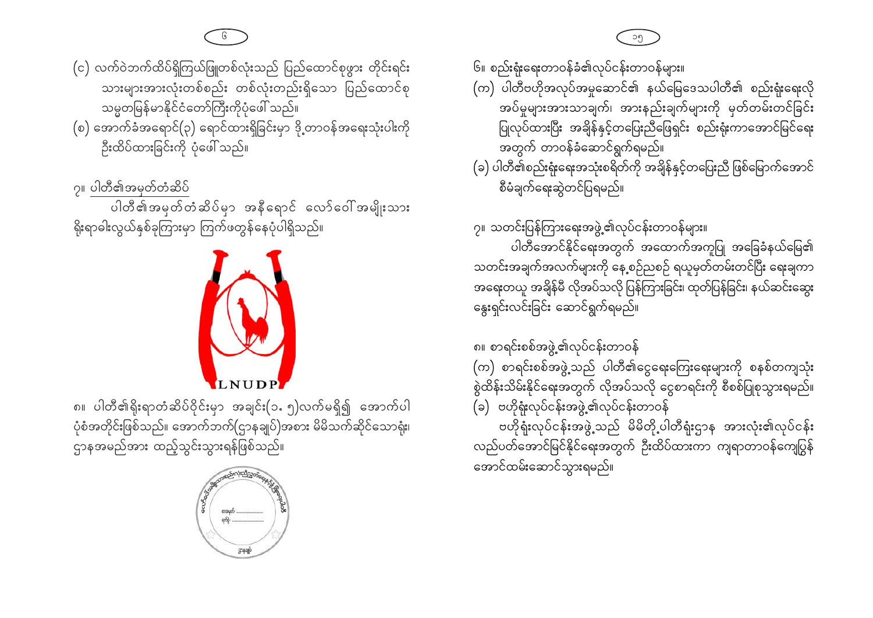- (င) လက်ဝဲဘက်ထိပ်ရှိကြယ်ဖြူတစ်လုံးသည် ပြည်ထောင်စုဖွား တိုင်းရင်း သားများအားလုံးတစ်စည်း တစ်လုံးတည်းရှိသော ပြည်ထောင်စု သမ္မတမြန်မာနိုင်ငံတော်ကြီးကိုပုံဖေါ် သည်။
- (စ) အောက်ခံအရောင်(၃) ရောင်ထားရှိခြင်းမှာ ဒို့တာဝန်အရေးသုံးပါးကို ဦးထိပ်ထားခြင်းကို ပုံဖေါ် သည်။

၇။ ပါတီ၏အမှတ်တံဆိပ်

ပါတီ၏အမှတ်တံဆိပ်မှာ အနီရောင် လော်ဝေါ်အမျိုးသား ရိုးရာဓါးလွယ်နှစ်ခုကြားမှာ ကြက်ဖတွန်နေပုံပါရှိသည်။



၈။ ပါတီ၏ရိုးရာတံဆိပ်ဝိုင်းမှာ အချင်း(၁ႉ၅)လက်မရှိ၍ အောက်ပါ ပုံစံအတိုင်းဖြစ်သည်။ အောက်ဘက်(ဌာနချုပ်)အစား မိမိသက်ဆိုင်သောရုံး၊ ဌာနအမည်အား ထည့်သွင်းသွားရန်ဖြစ်သည်။



၆။ စည်းရုံးရေးတာဝန်ခံ၏လုပ်ငန်းတာဝန်များ။

- (က) ပါတီဗဟိုအလုပ်အမှုဆောင်၏ နယ်မြေဒေသပါတီ၏ စည်းရုံးရေးလို အပ်မှုများအားသာချက်၊ အားနည်းချက်များကို မှတ်တမ်းတင်ခြင်း ပြုလုပ်ထားပြီး အချိန်နှင့်တပြေးညီဖြေရှင်း စည်းရုံးကာအောင်မြင်ရေး အတွက် တာဝန်ခံဆောင်ရွက်ရမည်။
- (ခ) ပါတီ၏စည်းရုံးရေးအသုံးစရိတ်ကို အချိန်နှင့်တပြေးညီ ဖြစ်မြောက်အောင် စီမံချက်ရေးဆွဲတင်ပြရမည်။

၇။ သတင်းပြန်ကြားရေးအဖွဲ့၏လုပ်ငန်းတာဝန်များ။ ပါတီအောင်နိုင်ရေးအတွက် အထောက်အကူပြု အခြေခံနယ်မြေ၏ သတင်းအချက်အလက်များကို နေ့စဉ်ညစဉ် ရယူမှတ်တမ်းတင်ပြီး ရေးချကာ အရေးတယူ အချိန်မီ လိုအပ်သလို ပြန်ကြားခြင်း၊ ထုတ်ပြန်ခြင်း၊ နယ်ဆင်းဆွေး နွေးရှင်းလင်းခြင်း ဆောင်ရွက်ရမည်။

၈။ စာရင်းစစ်အဖွဲ့၏လုပ်ငန်းတာဝန်

(က) စာရင်းစစ်အဖွဲ့သည် ပါတီ၏ငွေရေးကြေးရေးများကို စနစ်တကျသုံး စွဲထိန်းသိမ်းနိုင်ရေးအတွက် လိုအပ်သလို ငွေစာရင်းကို စီစစ်ပြုစုသွားရမည်။ (ခ) ဗဟိုရုံးလုပ်ငန်းအဖွဲ့၏လုပ်ငန်းတာဝန်

ဗဟိုရုံးလုပ်ငန်းအဖွဲ့ သည် မိမိတို့ ပါတီရုံးဌာန အားလုံး၏လုပ်ငန်း လည်ပတ်အောင်မြင်နိုင်ရေးအတွက် ဦးထိပ်ထားကာ ကျရာတာဝန်ကျေပြွန် အောင်ထမ်းဆောင်သွားရမည်။

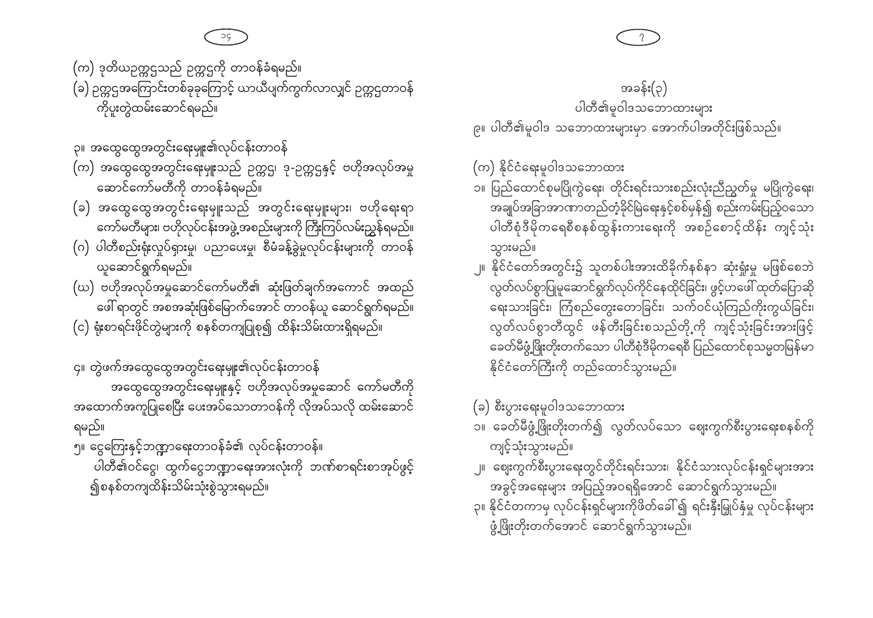အထောက်အကူပြုစေပြီး ပေးအပ်သောတာဝန်ကို လိုအပ်သလို ထမ်းဆောင် ရမည်။ ၅။ ငွေကြေးနှင့်ဘဏ္ဍာရေးတာဝန်ခံ၏ လုပ်ငန်းတာဝန်။ ပါတီ၏ဝင်ငွေ၊ ထွက်ငွေဘဏ္ဍာရေးအားလုံးကို ဘဏ်စာရင်းစာအုပ်ဖွင့် ၍စနစ်တကျထိန်းသိမ်းသုံးစွဲသွားရမည်။

၄။ တွဲဖက်အထွေထွေအတွင်းရေးမျုး၏လုပ်ငန်းတာဝန် အထွေထွေအတွင်းရေးမှူးနှင့် ဗဟိုအလုပ်အမှုဆောင် ကော်မတီကို

- (ဃ) ဗဟိုအလုပ်အမှုဆောင်ကော်မတီ၏ ဆုံးဖြတ်ချက်အကောင် အထည် ဖေါ် ရာတွင် အစအဆုံးဖြစ်မြောက်အောင် တာဝန်ယူ ဆောင်ရွက်ရမည်။ (င) ရုံးစာရင်းဖိုင်တွဲများကို စနစ်တကျပြုစု၍ ထိန်းသိမ်းထားရှိရမည်။
- (ဂ) ပါတီစည်းရုံးလှုပ်ရှားမှု၊ ပညာပေးမှု၊ စီမံခန့်ခွဲမှုလုပ်ငန်းများကို တာဝန် ယူဆောင်ရွက်ရမည်။
- (ခ) အထွေထွေအတွင်းရေးမှူးသည် အတွင်းရေးမှူးများ၊ ဗဟိုရေးရာ ကော်မတီများ၊ ဗဟိုလုပ်ငန်းအဖွဲ့ အစည်းများကို ကြီးကြပ်လမ်းညွှန်ရမည်။
- ၃။ အထွေထွေအတွင်းရေးမှူး၏လုပ်ငန်းတာဝန် (က) အထွေထွေအတွင်းရေးမှူးသည် ဉက္ကဌ၊ ဒု-ဉက္ကဌနှင့် ဗဟိုအလုပ်အမှု ဆောင်ကော်မတီကို တာဝန်ခံရမည်။

(က) ဒုတိယဥက္ကဌသည် ဥက္ကဌကို တာဝန်ခံရမည်။ (ခ) ဉက္ကဌအကြောင်းတစ်ခုခုကြောင့် ယာယီပျက်ကွက်လာလျှင် ဉက္ကဌတာဝန် ကိုပူးတွဲထမ်းဆောင်ရမည်။

> အခွင့်အရေးများ အပြည့်အဝရရှိအောင် ဆောင်ရွက်သွားမည်။ ၃။ နိုင်ငံတကာမှ လုပ်ငန်းရှင်များကိုဖိတ်ခေါ် ၍ ရင်းနှီးမြှုပ်နှံမှု လုပ်ငန်းများ ဖွံ့ဖြိုးတိုးတက်အောင် ဆောင်ရွက်သွားမည်။

- ၂။ ဈေးကွက်စီးပွားရေးတွင်တိုင်းရင်းသား၊ နိုင်ငံသားလုပ်ငန်းရှင်များအား
- ၁။ ခေတ်မီဖွံ့ဖြိုးတိုးတက်၍ လွတ်လပ်သော ဈေးကွက်စီးပွားရေးစနစ်ကို ကျင့်သုံးသွားမည်။
- (ခ) စီးပွားရေးမူဝါဒသဘောထား
- သွားမည်။ ၂။ နိုင်ငံတော်အတွင်း၌ သူတစ်ပါးအားထိခိုက်နစ်နာ ဆုံးရှုံးမှု မဖြစ်စေဘဲ လွတ်လပ်စွာပြုမှုဆောင်ရွက်လုပ်ကိုင်နေထိုင်ခြင်း၊ ဖွင့်ဟဖေါ် ထုတ်ပြောဆို ရေးသားခြင်း၊ ကြံစည်တွေးတောခြင်း၊ သက်ဝင်ယုံကြည်ကိုးကွယ်ခြင်း၊ လွတ်လပ်စွာတီထွင် ဖန်တီးခြင်းစသည်တို့ကို ကျင့်သုံးခြင်းအားဖြင့် -<br>ခေတ်မီဖွံ့ဖြိုးတိုးတက်သော ပါတီစုံဒီမိုကရေစီ ပြည်ထောင်စုသမ္မတမြန်မာ နိုင်ငံတော်ကြီးကို တည်ထောင်သွားမည်။
- (က) နိုင်ငံရေးမူဝါဒသဘောထား ၁။ ပြည်ထောင်စုမပြိုကွဲရေး၊ တိုင်းရင်းသားစည်းလုံးညီညွတ်မှု မပြိုကွဲရေး၊ အချုပ်အခြာအာဏာတည်တံ့ခိုင်မြဲရေးနှင့်စစ်မှန်၍ စည်းကမ်းပြည့်ဝသော ပါတီစုံဒီမိုကရေစီစနစ်ထွန်းကားရေးကို အစဉ်စောင့်ထိန်း ကျင့်သုံး

အခန်း(၃) ပါတီ၏မူဝါဒသဘောထားများ ၉။ ပါတီ၏မူဝါဒ သဘောထားများမှာ အောက်ပါအတိုင်းဖြစ်သည်။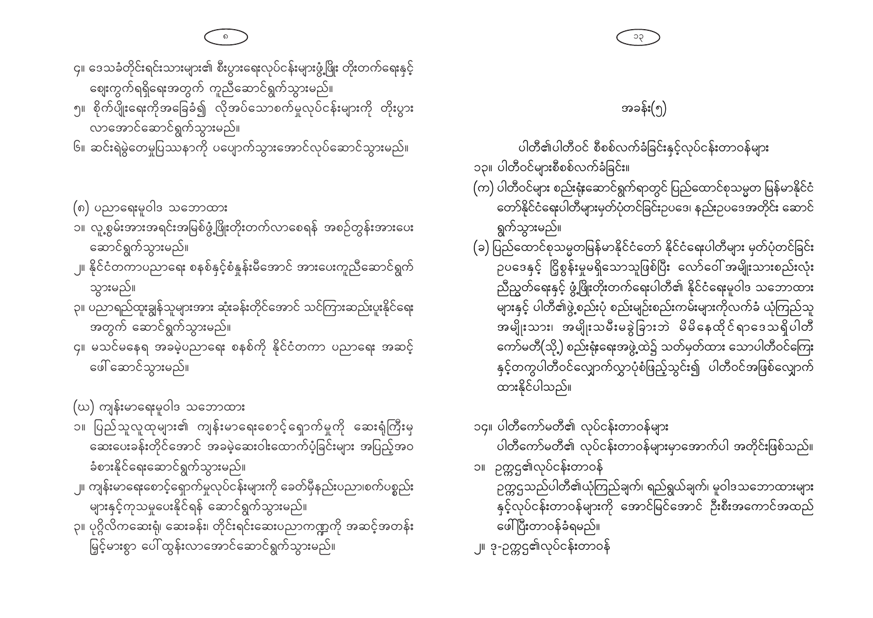၄။ ဒေသခံတိုင်းရင်းသားများ၏ စီးပွားရေးလုပ်ငန်းများဖွံ့ဖြိုး တိုးတက်ရေးနှင့်

ဈေးကွက်ရရှိရေးအတွက် ကူညီဆောင်ရွက်သွားမည်။ ၅။ စိုက်ပျိုးရေးကိုအခြေခံ၍ လိုအပ်သောစက်မှုလုပ်ငန်းများကို တိုးပွား

လာအောင်ဆောင်ရွက်သွားမည်။ ၆။ ဆင်းရဲမွဲတေမှုပြဿနာကို ပပျောက်သွားအောင်လုပ်ဆောင်သွားမည်။

(၈) ပညာရေးမူဝါဒ သဘောထား

သွားမည်။

၁။ လူ့စွမ်းအားအရင်းအမြစ်ဖွံ့ဖြိုးတိုးတက်လာစေရန် အစဉ်တွန်းအားပေး ဆောင်ရွက်သွားမည်။

၂။ နိုင်ငံတကာပညာရေး စနစ်နှင့်စံနူန်းမီအောင် အားပေးကူညီဆောင်ရွက်

၃။ ပညာရည်ထူးချွန်သူများအား ဆုံးခန်းတိုင်အောင် သင်ကြားဆည်းပူးနိုင်ရေး

၄။ မသင်မနေရ အခမဲ့ပညာရေး စနစ်ကို နိုင်ငံတကာ ပညာရေး အဆင့်

- 
- 

## အခန်း(၅)

ပါတီ၏ပါတီဝင် စီစစ်လက်ခံခြင်းနှင့်လုပ်ငန်းတာဝန်များ

- ၁၃။ ပါတီဝင်များစီစစ်လက်ခံခြင်း။
- (က) ပါတီဝင်များ စည်းရုံးဆောင်ရွက်ရာတွင် ပြည်ထောင်စုသမ္မတ မြန်မာနိုင်ငံ တော်နိုင်ငံရေးပါတီများမှတ်ပုံတင်ခြင်းဥပဒေ၊ နည်းဥပဒေအတိုင်း ဆောင် ရွက်သွားမည်။
- (ခ) ပြည်ထောင်စုသမ္မတမြန်မာနိုင်ငံတော် နိုင်ငံရေးပါတီများ မှတ်ပုံတင်ခြင်း ဉပဒေနှင့် ငြိုစွန်းမှုမရှိသောသူဖြစ်ပြီး လော်ဝေါ် အမျိုးသားစည်းလုံး ညီညွှတ်ရေးနှင့် ဖွံ့ဖြိုးတိုးတက်ရေးပါတီ၏ နိုင်ငံရေးမူဝါဒ သဘောထား အမျိုးသား၊ အမျိုးသမီးမခွဲခြားဘဲ မိမိနေထိုင်ရာဒေသရှိပါတီ ကော်မတီ(သို့) စည်းရုံးရေးအဖွဲ့ထဲ၌ သတ်မှတ်ထား သောပါတီဝင်ကြေး နှင့်တကွပါတီဝင်လျှောက်လွှာပုံစံဖြည့်သွင်း၍ ပါတီဝင်အဖြစ်လျှောက် ထားနိုင်ပါသည်။
- ၁၄။ ပါတီကော်မတီ၏ လုပ်ငန်းတာဝန်များ ပါတီကော်မတီ၏ လုပ်ငန်းတာဝန်များမှာအောက်ပါ အတိုင်းဖြစ်သည်။ ၁။ ဉက္ကဌ၏လုပ်ငန်းတာဝန်
- ဉက္ကဌသည်ပါတီ၏ယုံကြည်ချက်၊ ရည်ရွယ်ချက်၊ မူဝါဒသဘောထားများ နှင့်လုပ်ငန်းတာဝန်များကို အောင်မြင်အောင် ဦးစီးအကောင်အထည် ဖေါ်ပြီးတာဝန်ခံရမည်။
- ၂။ ဒု-ဉက္ကဌ၏လုပ်ငန်းတာဝန်

(ဃ) ကျန်းမာရေးမူဝါဒ သဘောထား

ဖေါ် ဆောင်သွားမည်။

အတွက် ဆောင်ရွက်သွားမည်။

- ၁။ ပြည်သူလူထုများ၏ ကျန်းမာရေးစောင့်ရှောက်မှုကို ဆေးရုံကြီးမှ ဆေးပေးခန်းတိုင်အောင် အခမဲ့ဆေးဝါးထောက်ပံ့ခြင်းများ အပြည့်အဝ ခံစားနိုင်ရေးဆောင်ရွက်သွားမည်။
- ၂။ ကျန်းမာရေးစောင့်ရှောက်မှုလုပ်ငန်းများကို ခေတ်မှီနည်းပညာ၊စက်ပစ္စည်း များနှင့်ကုသမှုပေးနိုင်ရန် ဆောင်ရွက်သွားမည်။
- ၃။ ပုဂ္ဂိလိကဆေးရုံ၊ ဆေးခန်း၊ တိုင်းရင်းဆေးပညာကဏ္ဍကို အဆင့်အတန်း မြှင့်မားစွာ ပေါ်ထွန်းလာအောင်ဆောင်ရွက်သွားမည်။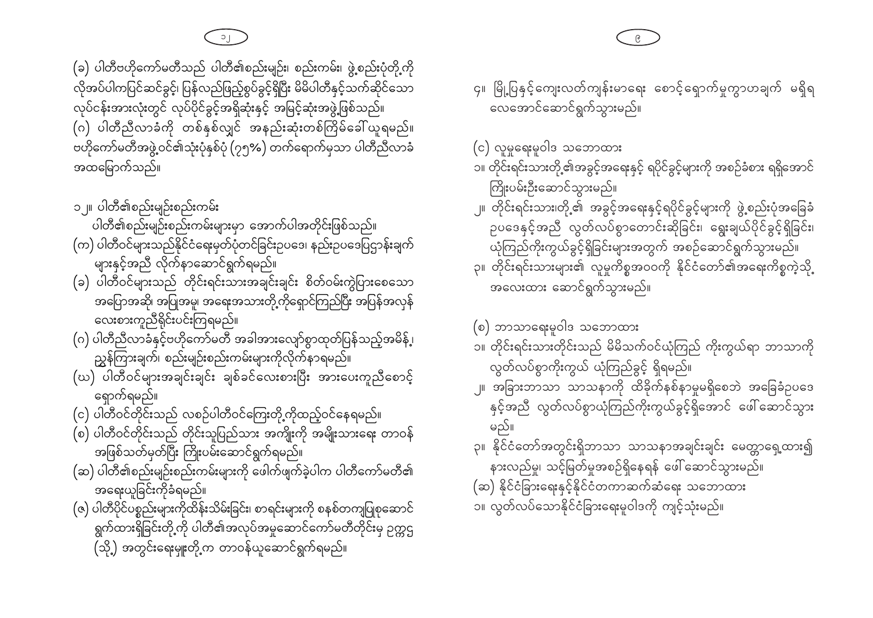- အရေးယူခြင်းကိုခံရမည်။ (ဇ) ပါတီပိုင်ပစ္စည်းများကိုထိန်းသိမ်းခြင်း၊ စာရင်းများကို စနစ်တကျပြုစုဆောင် ရွက်ထားရှိခြင်းတို့ကို ပါတီ၏အလုပ်အမှုဆောင်ကော်မတီတိုင်းမှ ဉက္ကဌ (သို့) အတွင်းရေးမျုးတို့က တာဝန်ယူဆောင်ရွက်ရမည်။
- အဖြစ်သတ်မှတ်ပြီး ကြိုးပမ်းဆောင်ရွက်ရမည်။ (ဆ) ပါတီ၏စည်းမျဉ်းစည်းကမ်းများကို ဖေါက်ဖျက်ခဲ့ပါက ပါတီကော်မတီ၏
- (စ) ပါတီဝင်တိုင်းသည် တိုင်းသူပြည်သား အကျိုးကို အမျိုးသားရေး တာဝန်
- ရှောက်ရမည်။ (င) ပါတီဝင်တိုင်းသည် လစဉ်ပါတီဝင်ကြေးတို့ကိုထည့်ဝင်နေရမည်။
- ညွှန်ကြားချက်၊ စည်းမျဉ်းစည်းကမ်းများကိုလိုက်နာရမည်။ (ဃ) ပါတီဝင်များအချင်းချင်း ချစ်ခင်လေးစားပြီး အားပေးကူညီစောင့်
- အပြောအဆို၊ အပြုအမူ၊ အရေးအသားတို့ကိုရှောင်ကြည်ပြီး အပြန်အလှန် လေးစားကူညီရိုင်းပင်းကြရမည်။ (ဂ) ပါတီညီလာခံနှင့်ဗဟိုကော်မတီ အခါအားလျော်စွာထုတ်ပြန်သည့်အမိန့် ၊
- (ခ) ပါတီဝင်များသည် တိုင်းရင်းသားအချင်းချင်း စိတ်ဝမ်းကွဲပြားစေသော
- ပါတီ၏စည်းမျဉ်းစည်းကမ်းများမှာ အောက်ပါအတိုင်းဖြစ်သည်။ (က) ပါတီဝင်များသည်နိုင်ငံရေးမှတ်ပုံတင်ခြင်းဥပဒေ၊ နည်းဥပဒေပြဌာန်းချက် များနှင့်အညီ လိုက်နာဆောင်ရွက်ရမည်။
- ၁ ။ ပါတီ၏စည်းမျဉ်းစည်းကမ်း

အထမြောက်သည်။

(ခ) ပါတီဗဟိုကော်မတီသည် ပါတီ၏စည်းမျဉ်း၊ စည်းကမ်း၊ ဖွဲ့စည်းပုံတို့ကို လိုအပ်ပါကပြင်ဆင်ခွင့်၊ ပြန်လည်ဖြည့်စွပ်ခွင့်ရှိပြီး မိမိပါတီနှင့်သက်ဆိုင်သော လုပ်ငန်းအားလုံးတွင် လုပ်ပိုင်ခွင့်အရှိဆုံးနှင့် အမြင့်ဆုံးအဖွဲ့ဖြစ်သည်။ (ဂ) ပါတီညီလာခံကို တစ်နှစ်လျှင် အနည်းဆုံးတစ်ကြိမ်ခေါ် ယူရမည်။ ဗဟိုကော်မတီအဖွဲ့ဝင်၏သုံးပုံနှစ်ပုံ (၇၅%) တက်ရောက်မှသာ ပါတီညီလာခံ

၄။ မြို့ပြနှင့်ကျေးလတ်ကျန်းမာရေး စောင့်ရှောက်မှုကွာဟချက် မရှိရ 

- နားလည်မှု၊ သင့်မြတ်မှုအစဉ်ရှိနေရန် ဖေါ် ဆောင်သွားမည်။ (ဆ) နိုင်ငံခြားရေးနှင့်နိုင်ငံတကာဆက်ဆံရေး သဘောထား ၁။ လွတ်လပ်သောနိုင်ငံခြားရေးမူဝါဒကို ကျင့်သုံးမည်။
- မည်။ ၃။ နိုင်ငံတော်အတွင်းရှိဘာသာ သာသနာအချင်းချင်း မေတ္တာရှေ့ထား၍
- ၂။ အခြားဘာသာ သာသနာကို ထိခိုက်နစ်နာမှုမရှိစေဘဲ အခြေခံဥပဒေ နှင့်အညီ လွတ်လပ်စွာယုံကြည်ကိုးကွယ်ခွင့်ရှိအောင် ဖေါ်ဆောင်သွား
- (စ) ဘာသာရေးမူဝါဒ သဘောထား ၁။ တိုင်းရင်းသားတိုင်းသည် မိမိသက်ဝင်ယုံကြည် ကိုးကွယ်ရာ ဘာသာကို လွတ်လပ်စွာကိုးကွယ် ယုံကြည်ခွင့် ရှိရမည်။
- ၂။ တိုင်းရင်းသား၊တို့၏ အခွင့်အရေးနှင့်ရပိုင်ခွင့်များကို ဖွဲ့စည်းပုံအခြေခံ ဉပဒေနှင့်အညီ လွတ်လပ်စွာတောင်းဆိုခြင်း၊ ရွေးချယ်ပိုင်ခွင့်ရှိခြင်း၊ ယုံကြည်ကိုးကွယ်ခွင့်ရှိခြင်းများအတွက် အစဉ်ဆောင်ရွက်သွားမည်။ ၃။ တိုင်းရင်းသားများ၏ လူမှုကိစ္စအဝဝကို နိုင်ငံတော်၏အရေးကိစ္စကဲ့သို့ အလေးထား ဆောင်ရွက်သွားမည်။
- (င) လူမှုရေးမူဝါဒ သဘောထား ၁။ တိုင်းရင်းသားတို့၏အခွင့်အရေးနှင့် ရပိုင်ခွင့်များကို အစဉ်ခံစား ရရှိအောင် ကြိုးပမ်းဦးဆောင်သွားမည်။
-